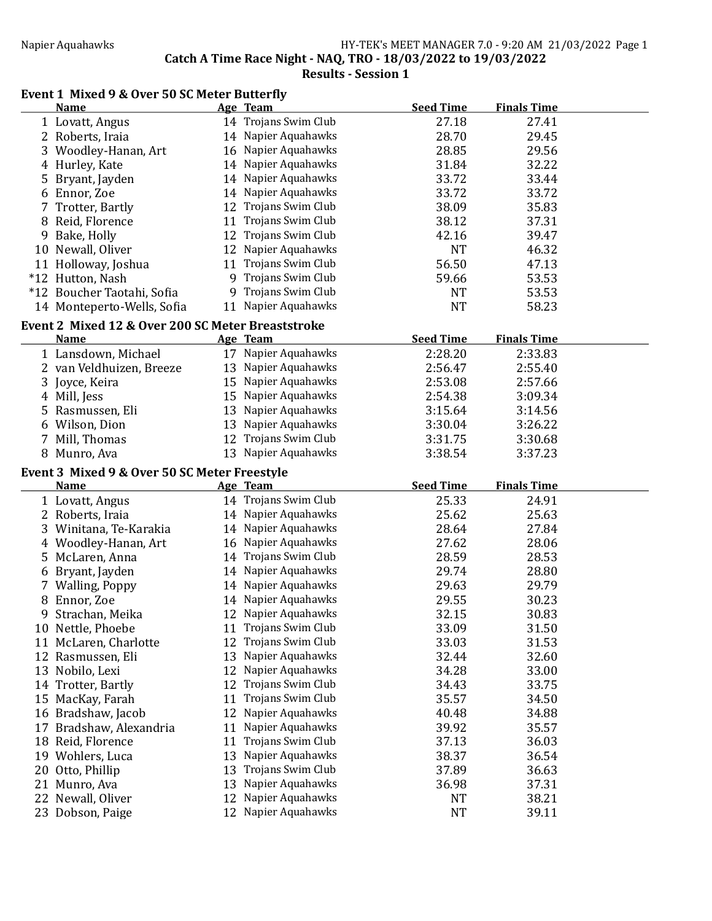## Napier Aquahawks HY-TEK's MEET MANAGER 7.0 - 9:20 AM 21/03/2022 Page 1 Catch A Time Race Night - NAQ, TRO - 18/03/2022 to 19/03/2022

Results - Session 1

## Event 1 Mixed 9 & Over 50 SC Meter Butterfly

|    | <b>Name</b>                                       |          | Age Team                             | <b>Seed Time</b> | <b>Finals Time</b> |
|----|---------------------------------------------------|----------|--------------------------------------|------------------|--------------------|
|    | 1 Lovatt, Angus                                   |          | 14 Trojans Swim Club                 | 27.18            | 27.41              |
|    | 2 Roberts, Iraia                                  |          | 14 Napier Aquahawks                  | 28.70            | 29.45              |
| 3  | Woodley-Hanan, Art                                |          | 16 Napier Aquahawks                  | 28.85            | 29.56              |
| 4  | Hurley, Kate                                      |          | 14 Napier Aquahawks                  | 31.84            | 32.22              |
| 5  | Bryant, Jayden                                    |          | 14 Napier Aquahawks                  | 33.72            | 33.44              |
|    | 6 Ennor, Zoe                                      |          | 14 Napier Aquahawks                  | 33.72            | 33.72              |
|    | Trotter, Bartly                                   |          | 12 Trojans Swim Club                 | 38.09            | 35.83              |
|    | 8 Reid, Florence                                  |          | 11 Trojans Swim Club                 | 38.12            | 37.31              |
| 9  | Bake, Holly                                       |          | 12 Trojans Swim Club                 | 42.16            | 39.47              |
|    | 10 Newall, Oliver                                 |          | 12 Napier Aquahawks                  | <b>NT</b>        | 46.32              |
|    | 11 Holloway, Joshua                               |          | 11 Trojans Swim Club                 | 56.50            | 47.13              |
|    | *12 Hutton, Nash                                  |          | 9 Trojans Swim Club                  | 59.66            | 53.53              |
|    | *12 Boucher Taotahi, Sofia                        | 9.       | Trojans Swim Club                    | NT               | 53.53              |
|    | 14 Monteperto-Wells, Sofia                        | 11       | Napier Aquahawks                     | <b>NT</b>        | 58.23              |
|    |                                                   |          |                                      |                  |                    |
|    | Event 2 Mixed 12 & Over 200 SC Meter Breaststroke |          |                                      |                  |                    |
|    | <b>Name</b>                                       |          | Age Team                             | <b>Seed Time</b> | <b>Finals Time</b> |
|    | 1 Lansdown, Michael                               |          | 17 Napier Aquahawks                  | 2:28.20          | 2:33.83            |
|    | 2 van Veldhuizen, Breeze                          |          | 13 Napier Aquahawks                  | 2:56.47          | 2:55.40            |
| 3  | Joyce, Keira                                      |          | 15 Napier Aquahawks                  | 2:53.08          | 2:57.66            |
|    | 4 Mill, Jess                                      |          | 15 Napier Aquahawks                  | 2:54.38          | 3:09.34            |
| 5  | Rasmussen, Eli                                    |          | 13 Napier Aquahawks                  | 3:15.64          | 3:14.56            |
|    | 6 Wilson, Dion                                    |          | 13 Napier Aquahawks                  | 3:30.04          | 3:26.22            |
| 7  | Mill, Thomas                                      |          | 12 Trojans Swim Club                 | 3:31.75          | 3:30.68            |
|    | 8 Munro, Ava                                      |          | 13 Napier Aquahawks                  | 3:38.54          | 3:37.23            |
|    | Event 3 Mixed 9 & Over 50 SC Meter Freestyle      |          |                                      |                  |                    |
|    | <b>Name</b>                                       |          | Age Team                             | <b>Seed Time</b> | <b>Finals Time</b> |
|    |                                                   |          |                                      |                  |                    |
|    |                                                   |          |                                      |                  |                    |
|    | 1 Lovatt, Angus                                   |          | 14 Trojans Swim Club                 | 25.33            | 24.91              |
|    | 2 Roberts, Iraia                                  |          | 14 Napier Aquahawks                  | 25.62            | 25.63              |
| 3  | Winitana, Te-Karakia                              |          | 14 Napier Aquahawks                  | 28.64            | 27.84              |
|    | 4 Woodley-Hanan, Art                              |          | 16 Napier Aquahawks                  | 27.62            | 28.06              |
| 5. | McLaren, Anna                                     |          | 14 Trojans Swim Club                 | 28.59            | 28.53              |
|    | 6 Bryant, Jayden                                  |          | 14 Napier Aquahawks                  | 29.74            | 28.80              |
| 7  | <b>Walling, Poppy</b>                             |          | 14 Napier Aquahawks                  | 29.63            | 29.79              |
| 8  | Ennor, Zoe                                        |          | 14 Napier Aquahawks                  | 29.55            | 30.23              |
| 9  | Strachan, Meika                                   |          | 12 Napier Aquahawks                  | 32.15            | 30.83              |
|    | 10 Nettle, Phoebe                                 |          | 11 Trojans Swim Club                 | 33.09            | 31.50              |
| 11 | McLaren, Charlotte                                | 12       | Trojans Swim Club                    | 33.03            | 31.53              |
|    | 12 Rasmussen, Eli                                 | 13       | Napier Aquahawks                     | 32.44            | 32.60              |
|    | 13 Nobilo, Lexi                                   | 12       | Napier Aquahawks                     | 34.28            | 33.00              |
| 14 | Trotter, Bartly                                   | 12       | Trojans Swim Club                    | 34.43            | 33.75              |
| 15 | MacKay, Farah                                     | 11       | Trojans Swim Club                    | 35.57            | 34.50              |
|    | 16 Bradshaw, Jacob                                | 12       | Napier Aquahawks                     | 40.48            | 34.88              |
| 17 | Bradshaw, Alexandria                              | 11       | Napier Aquahawks                     | 39.92            | 35.57              |
|    | 18 Reid, Florence                                 | 11       | Trojans Swim Club                    | 37.13            | 36.03              |
|    | 19 Wohlers, Luca                                  | 13       | Napier Aquahawks                     | 38.37            | 36.54              |
| 20 | Otto, Phillip                                     | 13       | Trojans Swim Club                    | 37.89            | 36.63              |
| 21 | Munro, Ava                                        | 13       | Napier Aquahawks                     | 36.98            | 37.31              |
| 22 | Newall, Oliver<br>23 Dobson, Paige                | 12<br>12 | Napier Aquahawks<br>Napier Aquahawks | NT<br><b>NT</b>  | 38.21<br>39.11     |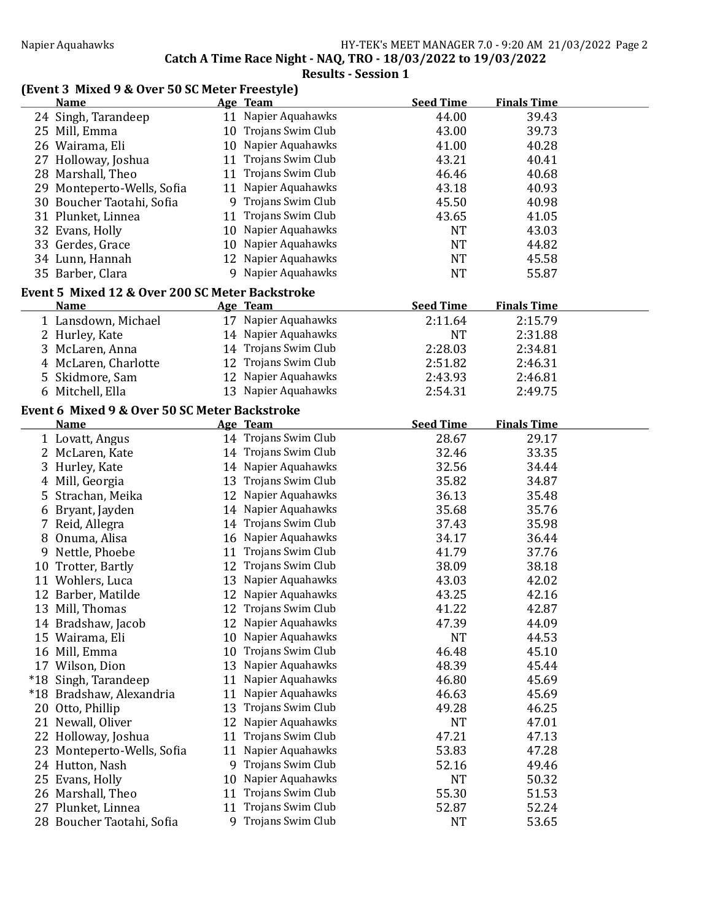Catch A Time Race Night - NAQ, TRO - 18/03/2022 to 19/03/2022

Results - Session 1

## (Event 3 Mixed 9 & Over 50 SC Meter Freestyle)

|       | <b>Name</b>                                     |    | Age Team             | <b>Seed Time</b> | <b>Finals Time</b> |  |
|-------|-------------------------------------------------|----|----------------------|------------------|--------------------|--|
|       | 24 Singh, Tarandeep                             |    | 11 Napier Aquahawks  | 44.00            | 39.43              |  |
|       | 25 Mill, Emma                                   |    | 10 Trojans Swim Club | 43.00            | 39.73              |  |
|       | 26 Wairama, Eli                                 | 10 | Napier Aquahawks     | 41.00            | 40.28              |  |
|       | 27 Holloway, Joshua                             |    | 11 Trojans Swim Club | 43.21            | 40.41              |  |
|       | 28 Marshall, Theo                               |    | 11 Trojans Swim Club | 46.46            | 40.68              |  |
|       | 29 Monteperto-Wells, Sofia                      |    | 11 Napier Aquahawks  | 43.18            | 40.93              |  |
|       | 30 Boucher Taotahi, Sofia                       |    | 9 Trojans Swim Club  | 45.50            | 40.98              |  |
|       | 31 Plunket, Linnea                              |    | 11 Trojans Swim Club | 43.65            | 41.05              |  |
|       | 32 Evans, Holly                                 |    | 10 Napier Aquahawks  | <b>NT</b>        | 43.03              |  |
|       | 33 Gerdes, Grace                                |    | 10 Napier Aquahawks  | <b>NT</b>        | 44.82              |  |
|       | 34 Lunn, Hannah                                 |    | 12 Napier Aquahawks  | <b>NT</b>        | 45.58              |  |
|       | 35 Barber, Clara                                |    | 9 Napier Aquahawks   | <b>NT</b>        | 55.87              |  |
|       | Event 5 Mixed 12 & Over 200 SC Meter Backstroke |    |                      |                  |                    |  |
|       | <b>Name</b>                                     |    | Age Team             | <b>Seed Time</b> | <b>Finals Time</b> |  |
|       | 1 Lansdown, Michael                             |    | 17 Napier Aquahawks  | 2:11.64          | 2:15.79            |  |
|       | 2 Hurley, Kate                                  |    | 14 Napier Aquahawks  | <b>NT</b>        | 2:31.88            |  |
|       | 3 McLaren, Anna                                 |    | 14 Trojans Swim Club | 2:28.03          | 2:34.81            |  |
|       | 4 McLaren, Charlotte                            |    | 12 Trojans Swim Club | 2:51.82          | 2:46.31            |  |
|       | 5 Skidmore, Sam                                 |    | 12 Napier Aquahawks  | 2:43.93          | 2:46.81            |  |
|       | 6 Mitchell, Ella                                |    | 13 Napier Aquahawks  | 2:54.31          | 2:49.75            |  |
|       | Event 6 Mixed 9 & Over 50 SC Meter Backstroke   |    |                      |                  |                    |  |
|       | <b>Name</b>                                     |    | Age Team             | <b>Seed Time</b> | <b>Finals Time</b> |  |
|       | 1 Lovatt, Angus                                 |    | 14 Trojans Swim Club | 28.67            | 29.17              |  |
|       | 2 McLaren, Kate                                 |    | 14 Trojans Swim Club | 32.46            | 33.35              |  |
|       | 3 Hurley, Kate                                  |    | 14 Napier Aquahawks  | 32.56            | 34.44              |  |
| 4     | Mill, Georgia                                   |    | 13 Trojans Swim Club | 35.82            | 34.87              |  |
|       | 5 Strachan, Meika                               |    | 12 Napier Aquahawks  | 36.13            | 35.48              |  |
|       | 6 Bryant, Jayden                                |    | 14 Napier Aquahawks  | 35.68            | 35.76              |  |
|       | 7 Reid, Allegra                                 |    | 14 Trojans Swim Club | 37.43            | 35.98              |  |
|       | 8 Onuma, Alisa                                  |    | 16 Napier Aquahawks  | 34.17            | 36.44              |  |
| 9     | Nettle, Phoebe                                  |    | 11 Trojans Swim Club | 41.79            | 37.76              |  |
|       | 10 Trotter, Bartly                              |    | 12 Trojans Swim Club | 38.09            | 38.18              |  |
|       | 11 Wohlers, Luca                                |    | 13 Napier Aquahawks  | 43.03            | 42.02              |  |
|       | 12 Barber, Matilde                              |    | 12 Napier Aquahawks  | 43.25            | 42.16              |  |
|       | 13 Mill, Thomas                                 |    | 12 Trojans Swim Club | 41.22            | 42.87              |  |
|       | 14 Bradshaw, Jacob                              |    | 12 Napier Aquahawks  | 47.39            | 44.09              |  |
|       | 15 Wairama, Eli                                 | 10 | Napier Aquahawks     | <b>NT</b>        | 44.53              |  |
|       | 16 Mill, Emma                                   | 10 | Trojans Swim Club    | 46.48            | 45.10              |  |
|       | 17 Wilson, Dion                                 | 13 | Napier Aquahawks     | 48.39            | 45.44              |  |
| $*18$ | Singh, Tarandeep                                | 11 | Napier Aquahawks     | 46.80            | 45.69              |  |
|       | *18 Bradshaw, Alexandria                        | 11 | Napier Aquahawks     | 46.63            | 45.69              |  |
| 20    | Otto, Phillip                                   | 13 | Trojans Swim Club    | 49.28            | 46.25              |  |
| 21    | Newall, Oliver                                  | 12 | Napier Aquahawks     | <b>NT</b>        | 47.01              |  |
|       | 22 Holloway, Joshua                             | 11 | Trojans Swim Club    | 47.21            | 47.13              |  |
| 23    | Monteperto-Wells, Sofia                         | 11 | Napier Aquahawks     | 53.83            | 47.28              |  |
|       | 24 Hutton, Nash                                 | 9  | Trojans Swim Club    | 52.16            | 49.46              |  |
|       | 25 Evans, Holly                                 | 10 | Napier Aquahawks     | <b>NT</b>        | 50.32              |  |
|       | 26 Marshall, Theo                               | 11 | Trojans Swim Club    | 55.30            | 51.53              |  |
|       | 27 Plunket, Linnea                              | 11 | Trojans Swim Club    | 52.87            | 52.24              |  |
|       | 28 Boucher Taotahi, Sofia                       | 9  | Trojans Swim Club    | <b>NT</b>        | 53.65              |  |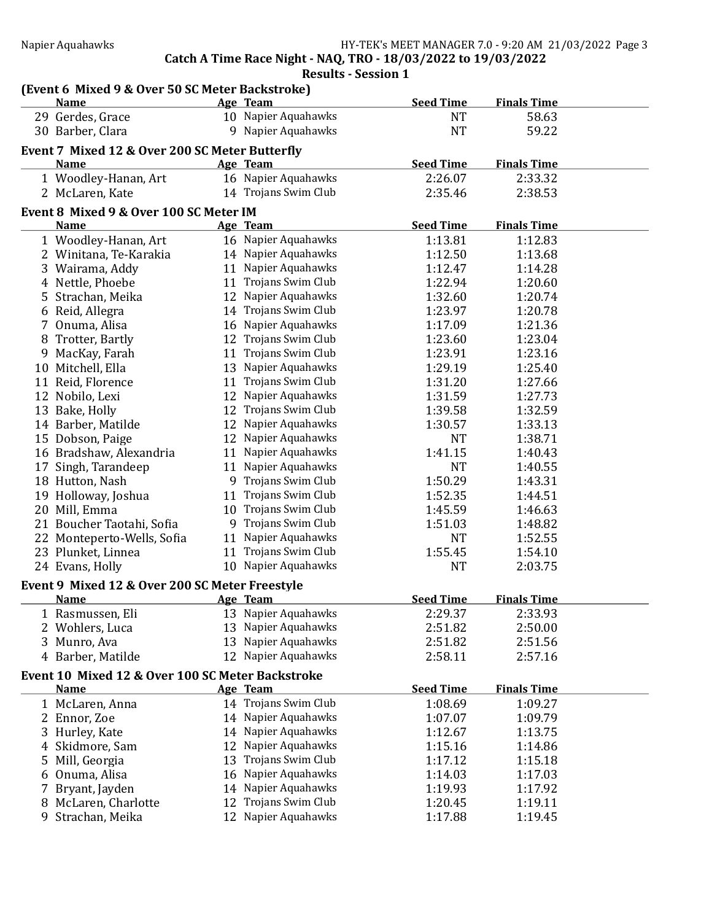Catch A Time Race Night - NAQ, TRO - 18/03/2022 to 19/03/2022

Results - Session 1

|    | (Event 6 Mixed 9 & Over 50 SC Meter Backstroke)  |    |                      |                  |                    |  |
|----|--------------------------------------------------|----|----------------------|------------------|--------------------|--|
|    | <b>Name</b>                                      |    | Age Team             | <b>Seed Time</b> | <b>Finals Time</b> |  |
|    | 29 Gerdes, Grace                                 |    | 10 Napier Aquahawks  | <b>NT</b>        | 58.63              |  |
|    | 30 Barber, Clara                                 |    | 9 Napier Aquahawks   | <b>NT</b>        | 59.22              |  |
|    | Event 7 Mixed 12 & Over 200 SC Meter Butterfly   |    |                      |                  |                    |  |
|    | <b>Name</b>                                      |    | Age Team             | <b>Seed Time</b> | <b>Finals Time</b> |  |
|    | 1 Woodley-Hanan, Art                             |    | 16 Napier Aquahawks  | 2:26.07          | 2:33.32            |  |
|    | 2 McLaren, Kate                                  |    | 14 Trojans Swim Club | 2:35.46          | 2:38.53            |  |
|    | Event 8 Mixed 9 & Over 100 SC Meter IM           |    |                      |                  |                    |  |
|    | <b>Name</b>                                      |    | Age Team             | <b>Seed Time</b> | <b>Finals Time</b> |  |
|    | 1 Woodley-Hanan, Art                             |    | 16 Napier Aquahawks  | 1:13.81          | 1:12.83            |  |
|    | 2 Winitana, Te-Karakia                           |    | 14 Napier Aquahawks  | 1:12.50          | 1:13.68            |  |
|    | 3 Wairama, Addy                                  |    | 11 Napier Aquahawks  | 1:12.47          | 1:14.28            |  |
|    | 4 Nettle, Phoebe                                 |    | 11 Trojans Swim Club | 1:22.94          | 1:20.60            |  |
|    | 5 Strachan, Meika                                |    | 12 Napier Aquahawks  | 1:32.60          | 1:20.74            |  |
|    | 6 Reid, Allegra                                  |    | 14 Trojans Swim Club | 1:23.97          | 1:20.78            |  |
| 7  | Onuma, Alisa                                     |    | 16 Napier Aquahawks  | 1:17.09          | 1:21.36            |  |
|    | 8 Trotter, Bartly                                |    | 12 Trojans Swim Club | 1:23.60          | 1:23.04            |  |
| 9  | MacKay, Farah                                    |    | 11 Trojans Swim Club | 1:23.91          | 1:23.16            |  |
|    | 10 Mitchell, Ella                                |    | 13 Napier Aquahawks  | 1:29.19          | 1:25.40            |  |
|    | 11 Reid, Florence                                |    | 11 Trojans Swim Club | 1:31.20          | 1:27.66            |  |
|    | 12 Nobilo, Lexi                                  |    | 12 Napier Aquahawks  | 1:31.59          | 1:27.73            |  |
|    | 13 Bake, Holly                                   | 12 | Trojans Swim Club    | 1:39.58          | 1:32.59            |  |
|    | 14 Barber, Matilde                               | 12 | Napier Aquahawks     | 1:30.57          | 1:33.13            |  |
|    | 15 Dobson, Paige                                 |    | 12 Napier Aquahawks  | <b>NT</b>        | 1:38.71            |  |
|    | 16 Bradshaw, Alexandria                          |    | 11 Napier Aquahawks  | 1:41.15          | 1:40.43            |  |
|    | 17 Singh, Tarandeep                              |    | 11 Napier Aquahawks  | <b>NT</b>        | 1:40.55            |  |
|    | 18 Hutton, Nash                                  |    | 9 Trojans Swim Club  | 1:50.29          | 1:43.31            |  |
|    | 19 Holloway, Joshua                              | 11 | Trojans Swim Club    | 1:52.35          | 1:44.51            |  |
|    | 20 Mill, Emma                                    |    | 10 Trojans Swim Club | 1:45.59          | 1:46.63            |  |
|    | 21 Boucher Taotahi, Sofia                        |    | 9 Trojans Swim Club  | 1:51.03          | 1:48.82            |  |
| 22 | Monteperto-Wells, Sofia                          | 11 | Napier Aquahawks     | <b>NT</b>        | 1:52.55            |  |
|    | 23 Plunket, Linnea                               |    | 11 Trojans Swim Club | 1:55.45          | 1:54.10            |  |
|    | 24 Evans, Holly                                  |    | 10 Napier Aquahawks  | <b>NT</b>        | 2:03.75            |  |
|    |                                                  |    |                      |                  |                    |  |
|    | Event 9 Mixed 12 & Over 200 SC Meter Freestyle   |    |                      |                  |                    |  |
|    | <b>Name</b>                                      |    | Age Team             | <b>Seed Time</b> | <b>Finals Time</b> |  |
|    | 1 Rasmussen, Eli                                 |    | 13 Napier Aquahawks  | 2:29.37          | 2:33.93            |  |
|    | 2 Wohlers, Luca                                  | 13 | Napier Aquahawks     | 2:51.82          | 2:50.00            |  |
| 3  | Munro, Ava                                       | 13 | Napier Aquahawks     | 2:51.82          | 2:51.56            |  |
|    | 4 Barber, Matilde                                |    | 12 Napier Aquahawks  | 2:58.11          | 2:57.16            |  |
|    | Event 10 Mixed 12 & Over 100 SC Meter Backstroke |    |                      |                  |                    |  |
|    | <b>Name</b>                                      |    | Age Team             | <b>Seed Time</b> | <b>Finals Time</b> |  |
|    | 1 McLaren, Anna                                  |    | 14 Trojans Swim Club | 1:08.69          | 1:09.27            |  |
|    | 2 Ennor, Zoe                                     |    | 14 Napier Aquahawks  | 1:07.07          | 1:09.79            |  |
|    | 3 Hurley, Kate                                   |    | 14 Napier Aquahawks  | 1:12.67          | 1:13.75            |  |
|    | 4 Skidmore, Sam                                  | 12 | Napier Aquahawks     | 1:15.16          | 1:14.86            |  |
| 5  | Mill, Georgia                                    | 13 | Trojans Swim Club    | 1:17.12          | 1:15.18            |  |
| 6  | Onuma, Alisa                                     | 16 | Napier Aquahawks     | 1:14.03          | 1:17.03            |  |
| 7  | Bryant, Jayden                                   | 14 | Napier Aquahawks     | 1:19.93          | 1:17.92            |  |
| 8  | McLaren, Charlotte                               | 12 | Trojans Swim Club    | 1:20.45          | 1:19.11            |  |
| 9  | Strachan, Meika                                  | 12 | Napier Aquahawks     | 1:17.88          | 1:19.45            |  |